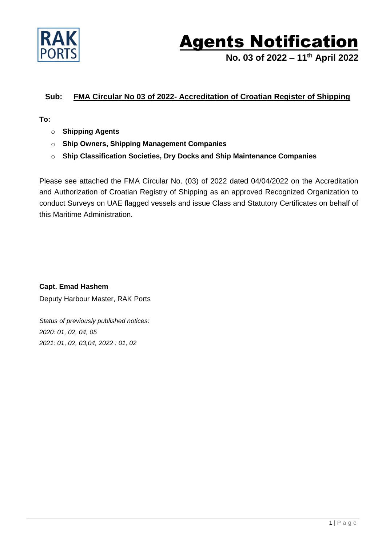

## **Agents Notification**

**No. 03 of 2022 – 11th April 2022**

## **Sub: FMA Circular No 03 of 2022- Accreditation of Croatian Register of Shipping**

**To:**

- o **Shipping Agents**
- o **Ship Owners, Shipping Management Companies**
- o **Ship Classification Societies, Dry Docks and Ship Maintenance Companies**

Please see attached the FMA Circular No. (03) of 2022 dated 04/04/2022 on the Accreditation and Authorization of Croatian Registry of Shipping as an approved Recognized Organization to conduct Surveys on UAE flagged vessels and issue Class and Statutory Certificates on behalf of this Maritime Administration.

**Capt. Emad Hashem** Deputy Harbour Master, RAK Ports

*Status of previously published notices: 2020: 01, 02, 04, 05 2021: 01, 02, 03,04, 2022 : 01, 02*